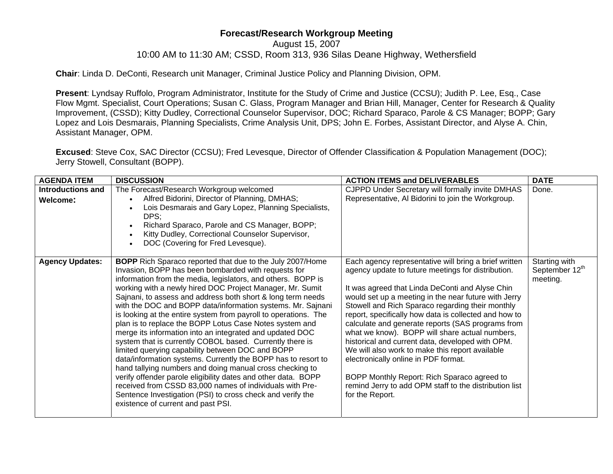## **Forecast/Research Workgroup Meeting**

August 15, 2007

10:00 AM to 11:30 AM; CSSD, Room 313, 936 Silas Deane Highway, Wethersfield

**Chair**: Linda D. DeConti, Research unit Manager, Criminal Justice Policy and Planning Division, OPM.

**Present**: Lyndsay Ruffolo, Program Administrator, Institute for the Study of Crime and Justice (CCSU); Judith P. Lee, Esq., Case Flow Mgmt. Specialist, Court Operations; Susan C. Glass, Program Manager and Brian Hill, Manager, Center for Research & Quality Improvement, (CSSD); Kitty Dudley, Correctional Counselor Supervisor, DOC; Richard Sparaco, Parole & CS Manager; BOPP; Gary Lopez and Lois Desmarais, Planning Specialists, Crime Analysis Unit, DPS; John E. Forbes, Assistant Director, and Alyse A. Chin, Assistant Manager, OPM.

**Excused**: Steve Cox, SAC Director (CCSU); Fred Levesque, Director of Offender Classification & Population Management (DOC); Jerry Stowell, Consultant (BOPP).

| <b>AGENDA ITEM</b>            | <b>DISCUSSION</b>                                                                                                                                                                                                                                                                                                                                                                                                                                                                                                                                                                                                                                                                                                                                                                                                                                                                                                                                                                                                                                          | <b>ACTION ITEMS and DELIVERABLES</b>                                                                                                                                                                                                                                                                                                                                                                                                                                                                                                                                                                                                                                                                                  | <b>DATE</b>                                 |
|-------------------------------|------------------------------------------------------------------------------------------------------------------------------------------------------------------------------------------------------------------------------------------------------------------------------------------------------------------------------------------------------------------------------------------------------------------------------------------------------------------------------------------------------------------------------------------------------------------------------------------------------------------------------------------------------------------------------------------------------------------------------------------------------------------------------------------------------------------------------------------------------------------------------------------------------------------------------------------------------------------------------------------------------------------------------------------------------------|-----------------------------------------------------------------------------------------------------------------------------------------------------------------------------------------------------------------------------------------------------------------------------------------------------------------------------------------------------------------------------------------------------------------------------------------------------------------------------------------------------------------------------------------------------------------------------------------------------------------------------------------------------------------------------------------------------------------------|---------------------------------------------|
| Introductions and<br>Welcome: | The Forecast/Research Workgroup welcomed<br>Alfred Bidorini, Director of Planning, DMHAS;<br>Lois Desmarais and Gary Lopez, Planning Specialists,<br>DPS:<br>Richard Sparaco, Parole and CS Manager, BOPP;<br>Kitty Dudley, Correctional Counselor Supervisor,<br>DOC (Covering for Fred Levesque).                                                                                                                                                                                                                                                                                                                                                                                                                                                                                                                                                                                                                                                                                                                                                        | <b>CJPPD Under Secretary will formally invite DMHAS</b><br>Representative, Al Bidorini to join the Workgroup.                                                                                                                                                                                                                                                                                                                                                                                                                                                                                                                                                                                                         | Done.                                       |
| <b>Agency Updates:</b>        | <b>BOPP</b> Rich Sparaco reported that due to the July 2007/Home<br>Invasion, BOPP has been bombarded with requests for<br>information from the media, legislators, and others. BOPP is<br>working with a newly hired DOC Project Manager, Mr. Sumit<br>Sajnani, to assess and address both short & long term needs<br>with the DOC and BOPP data/information systems. Mr. Sajnani<br>is looking at the entire system from payroll to operations. The<br>plan is to replace the BOPP Lotus Case Notes system and<br>merge its information into an integrated and updated DOC<br>system that is currently COBOL based. Currently there is<br>limited querying capability between DOC and BOPP<br>data/information systems. Currently the BOPP has to resort to<br>hand tallying numbers and doing manual cross checking to<br>verify offender parole eligibility dates and other data. BOPP<br>received from CSSD 83,000 names of individuals with Pre-<br>Sentence Investigation (PSI) to cross check and verify the<br>existence of current and past PSI. | Each agency representative will bring a brief written<br>agency update to future meetings for distribution.<br>It was agreed that Linda DeConti and Alyse Chin<br>would set up a meeting in the near future with Jerry<br>Stowell and Rich Sparaco regarding their monthly<br>report, specifically how data is collected and how to<br>calculate and generate reports (SAS programs from<br>what we know). BOPP will share actual numbers,<br>historical and current data, developed with OPM.<br>We will also work to make this report available<br>electronically online in PDF format.<br>BOPP Monthly Report: Rich Sparaco agreed to<br>remind Jerry to add OPM staff to the distribution list<br>for the Report. | Starting with<br>September 12th<br>meeting. |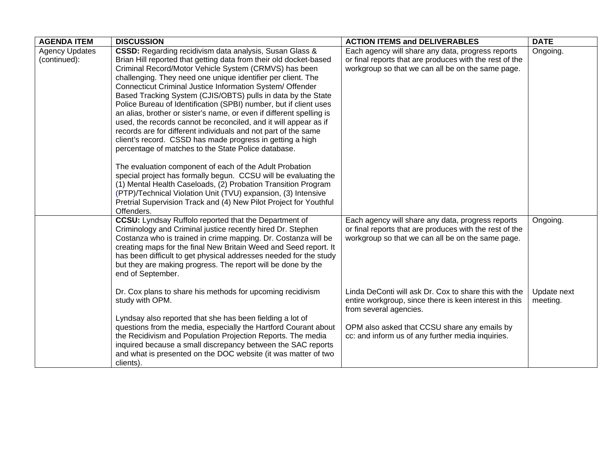| <b>AGENDA ITEM</b>                    | <b>DISCUSSION</b>                                                                                                                                                                                                                                                                                                                                                                                                                                                                                                                                                                                                                                                                                                                                                                                                                                                                                                                                                                                                                                                                                                                            | <b>ACTION ITEMS and DELIVERABLES</b>                                                                                                                                                                                       | <b>DATE</b>             |
|---------------------------------------|----------------------------------------------------------------------------------------------------------------------------------------------------------------------------------------------------------------------------------------------------------------------------------------------------------------------------------------------------------------------------------------------------------------------------------------------------------------------------------------------------------------------------------------------------------------------------------------------------------------------------------------------------------------------------------------------------------------------------------------------------------------------------------------------------------------------------------------------------------------------------------------------------------------------------------------------------------------------------------------------------------------------------------------------------------------------------------------------------------------------------------------------|----------------------------------------------------------------------------------------------------------------------------------------------------------------------------------------------------------------------------|-------------------------|
| <b>Agency Updates</b><br>(continued): | CSSD: Regarding recidivism data analysis, Susan Glass &<br>Brian Hill reported that getting data from their old docket-based<br>Criminal Record/Motor Vehicle System (CRMVS) has been<br>challenging. They need one unique identifier per client. The<br>Connecticut Criminal Justice Information System/ Offender<br>Based Tracking System (CJIS/OBTS) pulls in data by the State<br>Police Bureau of Identification (SPBI) number, but if client uses<br>an alias, brother or sister's name, or even if different spelling is<br>used, the records cannot be reconciled, and it will appear as if<br>records are for different individuals and not part of the same<br>client's record. CSSD has made progress in getting a high<br>percentage of matches to the State Police database.<br>The evaluation component of each of the Adult Probation<br>special project has formally begun. CCSU will be evaluating the<br>(1) Mental Health Caseloads, (2) Probation Transition Program<br>(PTP)/Technical Violation Unit (TVU) expansion, (3) Intensive<br>Pretrial Supervision Track and (4) New Pilot Project for Youthful<br>Offenders. | Each agency will share any data, progress reports<br>or final reports that are produces with the rest of the<br>workgroup so that we can all be on the same page.                                                          | Ongoing.                |
|                                       | <b>CCSU:</b> Lyndsay Ruffolo reported that the Department of<br>Criminology and Criminal justice recently hired Dr. Stephen<br>Costanza who is trained in crime mapping. Dr. Costanza will be<br>creating maps for the final New Britain Weed and Seed report. It<br>has been difficult to get physical addresses needed for the study<br>but they are making progress. The report will be done by the<br>end of September.<br>Dr. Cox plans to share his methods for upcoming recidivism                                                                                                                                                                                                                                                                                                                                                                                                                                                                                                                                                                                                                                                    | Each agency will share any data, progress reports<br>or final reports that are produces with the rest of the<br>workgroup so that we can all be on the same page.<br>Linda DeConti will ask Dr. Cox to share this with the | Ongoing.<br>Update next |
|                                       | study with OPM.<br>Lyndsay also reported that she has been fielding a lot of<br>questions from the media, especially the Hartford Courant about<br>the Recidivism and Population Projection Reports. The media<br>inquired because a small discrepancy between the SAC reports<br>and what is presented on the DOC website (it was matter of two<br>clients).                                                                                                                                                                                                                                                                                                                                                                                                                                                                                                                                                                                                                                                                                                                                                                                | entire workgroup, since there is keen interest in this<br>from several agencies.<br>OPM also asked that CCSU share any emails by<br>cc: and inform us of any further media inquiries.                                      | meeting.                |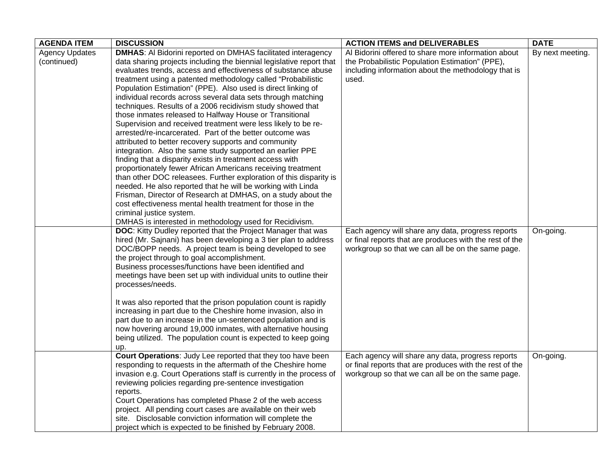| <b>AGENDA ITEM</b>    | <b>DISCUSSION</b>                                                                    | <b>ACTION ITEMS and DELIVERABLES</b>                    | <b>DATE</b>      |
|-----------------------|--------------------------------------------------------------------------------------|---------------------------------------------------------|------------------|
| <b>Agency Updates</b> | <b>DMHAS:</b> Al Bidorini reported on DMHAS facilitated interagency                  | Al Bidorini offered to share more information about     | By next meeting. |
| (continued)           | data sharing projects including the biennial legislative report that                 | the Probabilistic Population Estimation" (PPE),         |                  |
|                       | evaluates trends, access and effectiveness of substance abuse                        | including information about the methodology that is     |                  |
|                       | treatment using a patented methodology called "Probabilistic                         | used.                                                   |                  |
|                       | Population Estimation" (PPE). Also used is direct linking of                         |                                                         |                  |
|                       | individual records across several data sets through matching                         |                                                         |                  |
|                       | techniques. Results of a 2006 recidivism study showed that                           |                                                         |                  |
|                       | those inmates released to Halfway House or Transitional                              |                                                         |                  |
|                       | Supervision and received treatment were less likely to be re-                        |                                                         |                  |
|                       | arrested/re-incarcerated. Part of the better outcome was                             |                                                         |                  |
|                       | attributed to better recovery supports and community                                 |                                                         |                  |
|                       | integration. Also the same study supported an earlier PPE                            |                                                         |                  |
|                       | finding that a disparity exists in treatment access with                             |                                                         |                  |
|                       | proportionately fewer African Americans receiving treatment                          |                                                         |                  |
|                       | than other DOC releasees. Further exploration of this disparity is                   |                                                         |                  |
|                       | needed. He also reported that he will be working with Linda                          |                                                         |                  |
|                       | Frisman, Director of Research at DMHAS, on a study about the                         |                                                         |                  |
|                       | cost effectiveness mental health treatment for those in the                          |                                                         |                  |
|                       | criminal justice system.                                                             |                                                         |                  |
|                       | DMHAS is interested in methodology used for Recidivism.                              |                                                         |                  |
|                       | <b>DOC:</b> Kitty Dudley reported that the Project Manager that was                  | Each agency will share any data, progress reports       | On-going.        |
|                       | hired (Mr. Sajnani) has been developing a 3 tier plan to address                     | or final reports that are produces with the rest of the |                  |
|                       | DOC/BOPP needs. A project team is being developed to see                             | workgroup so that we can all be on the same page.       |                  |
|                       | the project through to goal accomplishment.                                          |                                                         |                  |
|                       | Business processes/functions have been identified and                                |                                                         |                  |
|                       | meetings have been set up with individual units to outline their<br>processes/needs. |                                                         |                  |
|                       |                                                                                      |                                                         |                  |
|                       | It was also reported that the prison population count is rapidly                     |                                                         |                  |
|                       | increasing in part due to the Cheshire home invasion, also in                        |                                                         |                  |
|                       | part due to an increase in the un-sentenced population and is                        |                                                         |                  |
|                       | now hovering around 19,000 inmates, with alternative housing                         |                                                         |                  |
|                       | being utilized. The population count is expected to keep going                       |                                                         |                  |
|                       | up.                                                                                  |                                                         |                  |
|                       | Court Operations: Judy Lee reported that they too have been                          | Each agency will share any data, progress reports       | On-going.        |
|                       | responding to requests in the aftermath of the Cheshire home                         | or final reports that are produces with the rest of the |                  |
|                       | invasion e.g. Court Operations staff is currently in the process of                  | workgroup so that we can all be on the same page.       |                  |
|                       | reviewing policies regarding pre-sentence investigation                              |                                                         |                  |
|                       | reports.                                                                             |                                                         |                  |
|                       | Court Operations has completed Phase 2 of the web access                             |                                                         |                  |
|                       | project. All pending court cases are available on their web                          |                                                         |                  |
|                       | site. Disclosable conviction information will complete the                           |                                                         |                  |
|                       | project which is expected to be finished by February 2008.                           |                                                         |                  |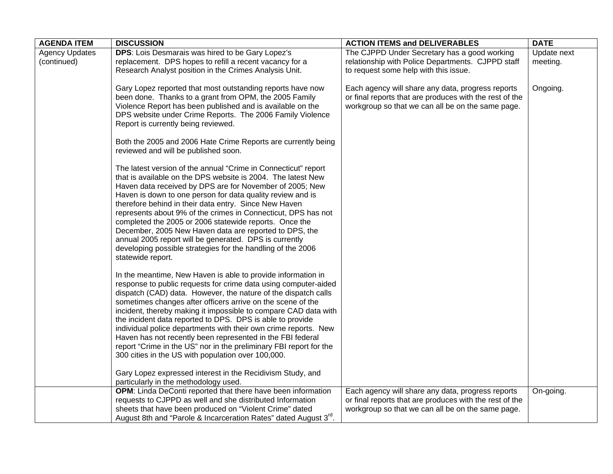| <b>AGENDA ITEM</b>    | <b>DISCUSSION</b>                                                                                                                | <b>ACTION ITEMS and DELIVERABLES</b>                    | <b>DATE</b> |
|-----------------------|----------------------------------------------------------------------------------------------------------------------------------|---------------------------------------------------------|-------------|
| <b>Agency Updates</b> | DPS: Lois Desmarais was hired to be Gary Lopez's                                                                                 | The CJPPD Under Secretary has a good working            | Update next |
| (continued)           | replacement. DPS hopes to refill a recent vacancy for a                                                                          | relationship with Police Departments. CJPPD staff       | meeting.    |
|                       | Research Analyst position in the Crimes Analysis Unit.                                                                           | to request some help with this issue.                   |             |
|                       |                                                                                                                                  |                                                         |             |
|                       | Gary Lopez reported that most outstanding reports have now                                                                       | Each agency will share any data, progress reports       | Ongoing.    |
|                       | been done. Thanks to a grant from OPM, the 2005 Family                                                                           | or final reports that are produces with the rest of the |             |
|                       | Violence Report has been published and is available on the                                                                       | workgroup so that we can all be on the same page.       |             |
|                       | DPS website under Crime Reports. The 2006 Family Violence                                                                        |                                                         |             |
|                       | Report is currently being reviewed.                                                                                              |                                                         |             |
|                       |                                                                                                                                  |                                                         |             |
|                       | Both the 2005 and 2006 Hate Crime Reports are currently being                                                                    |                                                         |             |
|                       | reviewed and will be published soon.                                                                                             |                                                         |             |
|                       | The latest version of the annual "Crime in Connecticut" report                                                                   |                                                         |             |
|                       | that is available on the DPS website is 2004. The latest New                                                                     |                                                         |             |
|                       | Haven data received by DPS are for November of 2005; New                                                                         |                                                         |             |
|                       | Haven is down to one person for data quality review and is                                                                       |                                                         |             |
|                       | therefore behind in their data entry. Since New Haven                                                                            |                                                         |             |
|                       | represents about 9% of the crimes in Connecticut, DPS has not                                                                    |                                                         |             |
|                       | completed the 2005 or 2006 statewide reports. Once the                                                                           |                                                         |             |
|                       | December, 2005 New Haven data are reported to DPS, the                                                                           |                                                         |             |
|                       | annual 2005 report will be generated. DPS is currently                                                                           |                                                         |             |
|                       | developing possible strategies for the handling of the 2006                                                                      |                                                         |             |
|                       | statewide report.                                                                                                                |                                                         |             |
|                       |                                                                                                                                  |                                                         |             |
|                       | In the meantime, New Haven is able to provide information in                                                                     |                                                         |             |
|                       | response to public requests for crime data using computer-aided                                                                  |                                                         |             |
|                       | dispatch (CAD) data. However, the nature of the dispatch calls                                                                   |                                                         |             |
|                       | sometimes changes after officers arrive on the scene of the                                                                      |                                                         |             |
|                       | incident, thereby making it impossible to compare CAD data with                                                                  |                                                         |             |
|                       | the incident data reported to DPS. DPS is able to provide                                                                        |                                                         |             |
|                       | individual police departments with their own crime reports. New                                                                  |                                                         |             |
|                       | Haven has not recently been represented in the FBI federal<br>report "Crime in the US" nor in the preliminary FBI report for the |                                                         |             |
|                       | 300 cities in the US with population over 100,000.                                                                               |                                                         |             |
|                       |                                                                                                                                  |                                                         |             |
|                       | Gary Lopez expressed interest in the Recidivism Study, and                                                                       |                                                         |             |
|                       | particularly in the methodology used.                                                                                            |                                                         |             |
|                       | OPM: Linda DeConti reported that there have been information                                                                     | Each agency will share any data, progress reports       | On-going.   |
|                       | requests to CJPPD as well and she distributed Information                                                                        | or final reports that are produces with the rest of the |             |
|                       | sheets that have been produced on "Violent Crime" dated                                                                          | workgroup so that we can all be on the same page.       |             |
|                       | August 8th and "Parole & Incarceration Rates" dated August 3rd.                                                                  |                                                         |             |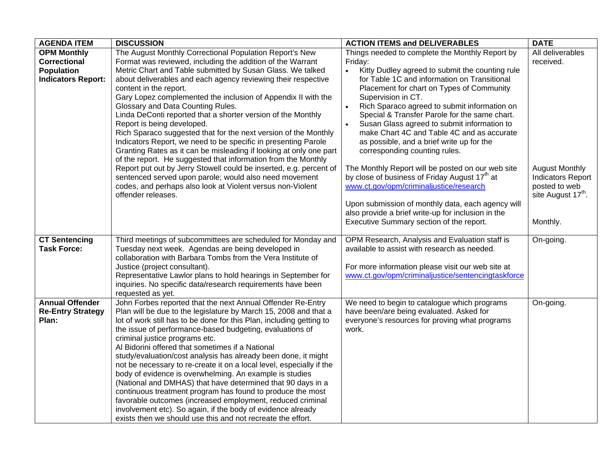| The August Monthly Correctional Population Report's New<br><b>OPM Monthly</b>                                                                                                                                                                                                                                                                                                                                                                                                                                                                                                                                                   | Things needed to complete the Monthly Report by                                                         |                                |
|---------------------------------------------------------------------------------------------------------------------------------------------------------------------------------------------------------------------------------------------------------------------------------------------------------------------------------------------------------------------------------------------------------------------------------------------------------------------------------------------------------------------------------------------------------------------------------------------------------------------------------|---------------------------------------------------------------------------------------------------------|--------------------------------|
|                                                                                                                                                                                                                                                                                                                                                                                                                                                                                                                                                                                                                                 |                                                                                                         | All deliverables               |
| Format was reviewed, including the addition of the Warrant<br><b>Correctional</b>                                                                                                                                                                                                                                                                                                                                                                                                                                                                                                                                               | Friday:                                                                                                 | received.                      |
| <b>Population</b><br>Metric Chart and Table submitted by Susan Glass. We talked                                                                                                                                                                                                                                                                                                                                                                                                                                                                                                                                                 | Kitty Dudley agreed to submit the counting rule<br>$\bullet$                                            |                                |
| <b>Indicators Report:</b><br>about deliverables and each agency reviewing their respective                                                                                                                                                                                                                                                                                                                                                                                                                                                                                                                                      | for Table 1C and information on Transitional                                                            |                                |
| content in the report.                                                                                                                                                                                                                                                                                                                                                                                                                                                                                                                                                                                                          | Placement for chart on Types of Community                                                               |                                |
| Gary Lopez complemented the inclusion of Appendix II with the                                                                                                                                                                                                                                                                                                                                                                                                                                                                                                                                                                   | Supervision in CT.                                                                                      |                                |
| Glossary and Data Counting Rules.                                                                                                                                                                                                                                                                                                                                                                                                                                                                                                                                                                                               | Rich Sparaco agreed to submit information on<br>$\bullet$                                               |                                |
| Linda DeConti reported that a shorter version of the Monthly                                                                                                                                                                                                                                                                                                                                                                                                                                                                                                                                                                    | Special & Transfer Parole for the same chart.                                                           |                                |
| Report is being developed.                                                                                                                                                                                                                                                                                                                                                                                                                                                                                                                                                                                                      | Susan Glass agreed to submit information to                                                             |                                |
| Rich Sparaco suggested that for the next version of the Monthly                                                                                                                                                                                                                                                                                                                                                                                                                                                                                                                                                                 | make Chart 4C and Table 4C and as accurate                                                              |                                |
| Indicators Report, we need to be specific in presenting Parole                                                                                                                                                                                                                                                                                                                                                                                                                                                                                                                                                                  | as possible, and a brief write up for the                                                               |                                |
| Granting Rates as it can be misleading if looking at only one part                                                                                                                                                                                                                                                                                                                                                                                                                                                                                                                                                              | corresponding counting rules.                                                                           |                                |
| of the report. He suggested that information from the Monthly                                                                                                                                                                                                                                                                                                                                                                                                                                                                                                                                                                   |                                                                                                         |                                |
| Report put out by Jerry Stowell could be inserted, e.g. percent of                                                                                                                                                                                                                                                                                                                                                                                                                                                                                                                                                              | The Monthly Report will be posted on our web site                                                       | <b>August Monthly</b>          |
| sentenced served upon parole; would also need movement                                                                                                                                                                                                                                                                                                                                                                                                                                                                                                                                                                          | by close of business of Friday August 17 <sup>th</sup> at                                               | <b>Indicators Report</b>       |
| codes, and perhaps also look at Violent versus non-Violent                                                                                                                                                                                                                                                                                                                                                                                                                                                                                                                                                                      | www.ct.gov/opm/criminaljustice/research                                                                 | posted to web                  |
| offender releases.                                                                                                                                                                                                                                                                                                                                                                                                                                                                                                                                                                                                              |                                                                                                         | site August 17 <sup>th</sup> . |
|                                                                                                                                                                                                                                                                                                                                                                                                                                                                                                                                                                                                                                 | Upon submission of monthly data, each agency will<br>also provide a brief write-up for inclusion in the |                                |
|                                                                                                                                                                                                                                                                                                                                                                                                                                                                                                                                                                                                                                 | Executive Summary section of the report.                                                                | Monthly.                       |
|                                                                                                                                                                                                                                                                                                                                                                                                                                                                                                                                                                                                                                 |                                                                                                         |                                |
| <b>CT Sentencing</b><br>Third meetings of subcommittees are scheduled for Monday and                                                                                                                                                                                                                                                                                                                                                                                                                                                                                                                                            | OPM Research, Analysis and Evaluation staff is                                                          | On-going.                      |
| <b>Task Force:</b><br>Tuesday next week. Agendas are being developed in                                                                                                                                                                                                                                                                                                                                                                                                                                                                                                                                                         | available to assist with research as needed.                                                            |                                |
| collaboration with Barbara Tombs from the Vera Institute of                                                                                                                                                                                                                                                                                                                                                                                                                                                                                                                                                                     |                                                                                                         |                                |
| Justice (project consultant).                                                                                                                                                                                                                                                                                                                                                                                                                                                                                                                                                                                                   | For more information please visit our web site at                                                       |                                |
| Representative Lawlor plans to hold hearings in September for                                                                                                                                                                                                                                                                                                                                                                                                                                                                                                                                                                   | www.ct.gov/opm/criminaljustice/sentencingtaskforce                                                      |                                |
| inquiries. No specific data/research requirements have been                                                                                                                                                                                                                                                                                                                                                                                                                                                                                                                                                                     |                                                                                                         |                                |
| requested as yet.                                                                                                                                                                                                                                                                                                                                                                                                                                                                                                                                                                                                               |                                                                                                         |                                |
| <b>Annual Offender</b><br>John Forbes reported that the next Annual Offender Re-Entry                                                                                                                                                                                                                                                                                                                                                                                                                                                                                                                                           | We need to begin to catalogue which programs                                                            | On-going.                      |
| Plan will be due to the legislature by March 15, 2008 and that a<br><b>Re-Entry Strategy</b>                                                                                                                                                                                                                                                                                                                                                                                                                                                                                                                                    | have been/are being evaluated. Asked for                                                                |                                |
|                                                                                                                                                                                                                                                                                                                                                                                                                                                                                                                                                                                                                                 |                                                                                                         |                                |
|                                                                                                                                                                                                                                                                                                                                                                                                                                                                                                                                                                                                                                 |                                                                                                         |                                |
|                                                                                                                                                                                                                                                                                                                                                                                                                                                                                                                                                                                                                                 |                                                                                                         |                                |
|                                                                                                                                                                                                                                                                                                                                                                                                                                                                                                                                                                                                                                 |                                                                                                         |                                |
|                                                                                                                                                                                                                                                                                                                                                                                                                                                                                                                                                                                                                                 |                                                                                                         |                                |
|                                                                                                                                                                                                                                                                                                                                                                                                                                                                                                                                                                                                                                 |                                                                                                         |                                |
|                                                                                                                                                                                                                                                                                                                                                                                                                                                                                                                                                                                                                                 |                                                                                                         |                                |
|                                                                                                                                                                                                                                                                                                                                                                                                                                                                                                                                                                                                                                 |                                                                                                         |                                |
|                                                                                                                                                                                                                                                                                                                                                                                                                                                                                                                                                                                                                                 |                                                                                                         |                                |
|                                                                                                                                                                                                                                                                                                                                                                                                                                                                                                                                                                                                                                 |                                                                                                         |                                |
| involvement etc). So again, if the body of evidence already                                                                                                                                                                                                                                                                                                                                                                                                                                                                                                                                                                     |                                                                                                         |                                |
| Plan:<br>lot of work still has to be done for this Plan, including getting to<br>the issue of performance-based budgeting, evaluations of<br>criminal justice programs etc.<br>Al Bidorini offered that sometimes if a National<br>study/evaluation/cost analysis has already been done, it might<br>not be necessary to re-create it on a local level, especially if the<br>body of evidence is overwhelming. An example is studies<br>(National and DMHAS) that have determined that 90 days in a<br>continuous treatment program has found to produce the most<br>favorable outcomes (increased employment, reduced criminal | everyone's resources for proving what programs<br>work.                                                 |                                |